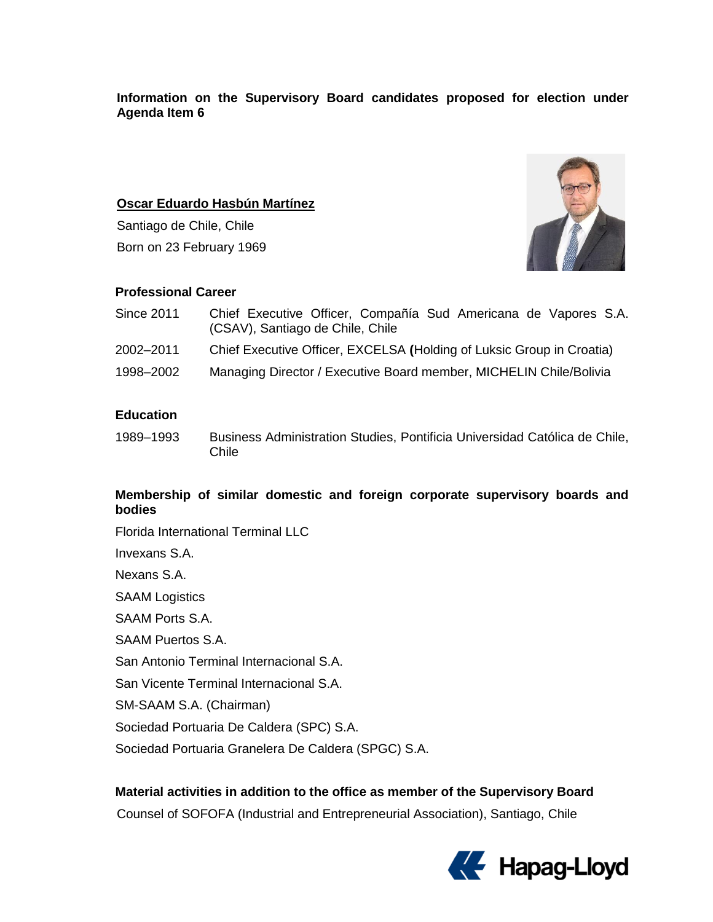**Information on the Supervisory Board candidates proposed for election under Agenda Item 6**

### **Oscar Eduardo Hasbún Martínez**

Santiago de Chile, Chile Born on 23 February 1969



#### **Professional Career**

| Since 2011 | Chief Executive Officer, Compañía Sud Americana de Vapores S.A.<br>(CSAV), Santiago de Chile, Chile |
|------------|-----------------------------------------------------------------------------------------------------|
| 2002–2011  | Chief Executive Officer, EXCELSA (Holding of Luksic Group in Croatia)                               |
| 1998–2002  | Managing Director / Executive Board member, MICHELIN Chile/Bolivia                                  |
|            |                                                                                                     |

#### **Education**

1989–1993 Business Administration Studies, Pontificia Universidad Católica de Chile, Chile

### **Membership of similar domestic and foreign corporate supervisory boards and bodies**

Florida International Terminal LLC Invexans S.A. Nexans S.A. SAAM Logistics SAAM Ports S.A. SAAM Puertos S.A. San Antonio Terminal Internacional S.A. San Vicente Terminal Internacional S.A. SM-SAAM S.A. (Chairman) Sociedad Portuaria De Caldera (SPC) S.A. Sociedad Portuaria Granelera De Caldera (SPGC) S.A.

### **Material activities in addition to the office as member of the Supervisory Board**

Counsel of SOFOFA (Industrial and Entrepreneurial Association), Santiago, Chile

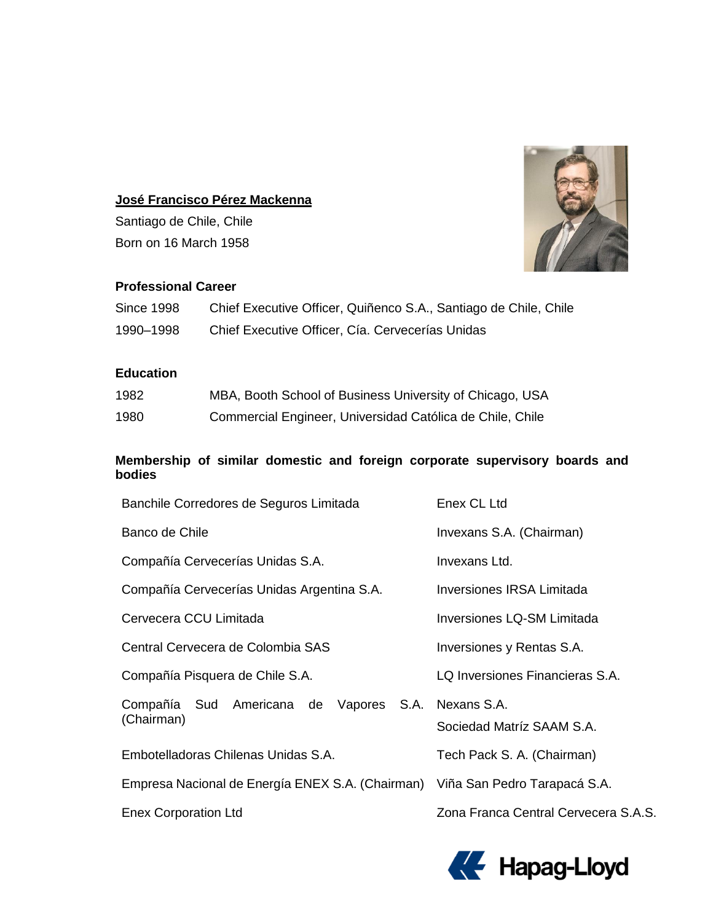

# **José Francisco Pérez Mackenna**

Santiago de Chile, Chile Born on 16 March 1958

### **Professional Career**

| <b>Since 1998</b> | Chief Executive Officer, Quiñenco S.A., Santiago de Chile, Chile |
|-------------------|------------------------------------------------------------------|
| 1990–1998         | Chief Executive Officer, Cía. Cervecerías Unidas                 |

# **Education**

| 1982 | MBA, Booth School of Business University of Chicago, USA  |
|------|-----------------------------------------------------------|
| 1980 | Commercial Engineer, Universidad Católica de Chile, Chile |

# **Membership of similar domestic and foreign corporate supervisory boards and bodies**

| Banchile Corredores de Seguros Limitada                                       | Enex CL Ltd                          |
|-------------------------------------------------------------------------------|--------------------------------------|
| Banco de Chile                                                                | Invexans S.A. (Chairman)             |
| Compañía Cervecerías Unidas S.A.                                              | Invexans Ltd.                        |
| Compañía Cervecerías Unidas Argentina S.A.                                    | <b>Inversiones IRSA Limitada</b>     |
| Cervecera CCU Limitada                                                        | <b>Inversiones LQ-SM Limitada</b>    |
| Central Cervecera de Colombia SAS                                             | Inversiones y Rentas S.A.            |
| Compañía Pisquera de Chile S.A.                                               | LQ Inversiones Financieras S.A.      |
| Compañía Sud Americana de Vapores S.A. Nexans S.A.<br>(Chairman)              | Sociedad Matríz SAAM S.A.            |
| Embotelladoras Chilenas Unidas S.A.                                           | Tech Pack S. A. (Chairman)           |
| Empresa Nacional de Energía ENEX S.A. (Chairman) Viña San Pedro Tarapacá S.A. |                                      |
| <b>Enex Corporation Ltd</b>                                                   | Zona Franca Central Cervecera S.A.S. |

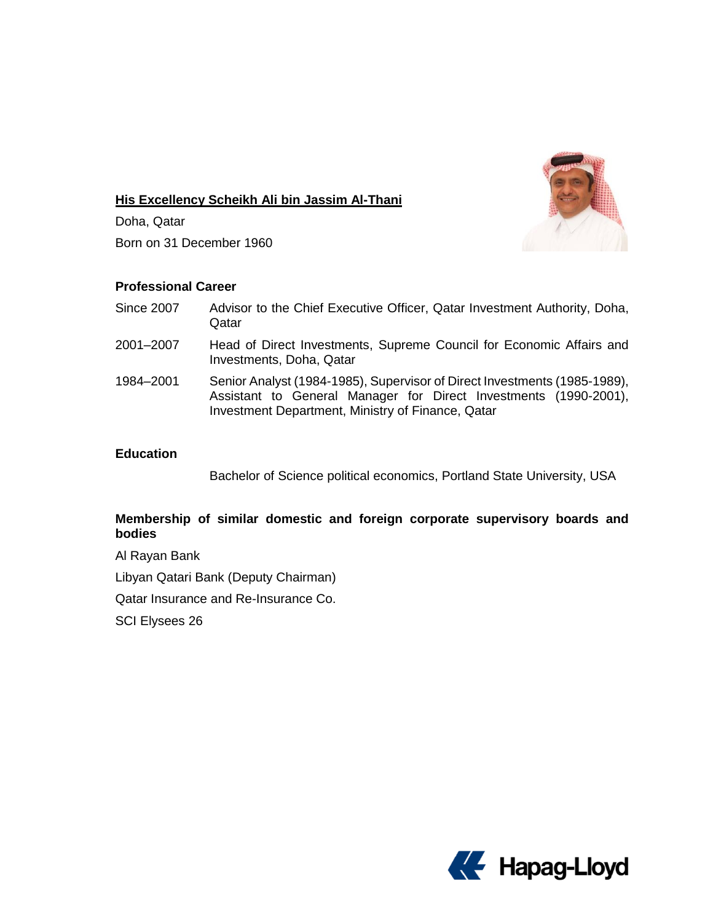

# **His Excellency Scheikh Ali bin Jassim Al-Thani**

Doha, Qatar Born on 31 December 1960

#### **Professional Career**

- Since 2007 Advisor to the Chief Executive Officer, Qatar Investment Authority, Doha, **O**atar
- 2001–2007 Head of Direct Investments, Supreme Council for Economic Affairs and Investments, Doha, Qatar
- 1984–2001 Senior Analyst (1984-1985), Supervisor of Direct Investments (1985-1989), Assistant to General Manager for Direct Investments (1990-2001), Investment Department, Ministry of Finance, Qatar

### **Education**

Bachelor of Science political economics, Portland State University, USA

# **Membership of similar domestic and foreign corporate supervisory boards and bodies**

Al Rayan Bank Libyan Qatari Bank (Deputy Chairman)

Qatar Insurance and Re-Insurance Co.

SCI Elysees 26